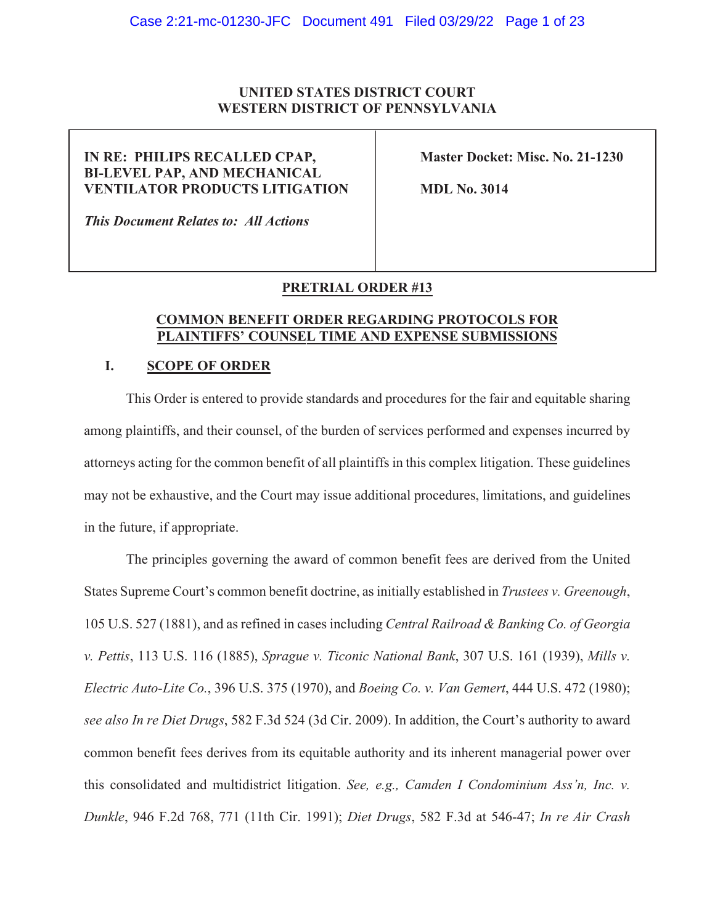## **UNITED STATES DISTRICT COURT WESTERN DISTRICT OF PENNSYLVANIA**

# **IN RE: PHILIPS RECALLED CPAP, Master Docket: Misc. No. 21-1230 BI-LEVEL PAP, AND MECHANICAL VENTILATOR PRODUCTS LITIGATION MDL No. 3014**

*This Document Relates to: All Actions* 

# **PRETRIAL ORDER #13**

## **COMMON BENEFIT ORDE55EGARDING PROTOCOLS FOR PLAINTIFFS' COUNSEL TIME AND EXPENSE SUBMISSIONS**

## **I. SCOPE OF ORDER**

This Order is entered to provide standards and procedures for the fair and equitable sharing among plaintiffs, and their counsel, of the burden of services performed and expenses incurred by attorneys acting for the common benefit of all plaintiffs in this complex litigation. These guidelines may not be exhaustive, and the Court may issue additional procedures, limitations, and guidelines in the future, if appropriate.

The principles governing the award of common benefit fees are derived from the United States Supreme Court's common benefit doctrine, as initially established in *Trustees v. Greenough*, 105 U.S. 527 (1881), and as refined in cases including *Central Railroad & Banking Co. of Georgia v. Pettis*, 113 U.S. 116 (1885), *Sprague v. Ticonic National Bank*, 307 U.S. 161 (1939), *Mills v. Electric Auto-Lite Co.*, 396 U.S. 375 (1970), and *Boeing Co. v. Van Gemert*, 444 U.S. 472 (1980); *see also In re Diet Drugs*, 582 F.3d 524 (3d Cir. 2009). In addition, the Court's authority to award common benefit fees derives from its equitable authority and its inherent managerial power over this consolidated and multidistrict litigation. *See, e.g., Camden I Condominium Ass'n, Inc. v. Dunkle*, 946 F.2d 768, 771 (11th Cir. 1991); *Diet Drugs*, 582 F.3d at 546-47; *In re Air Crash*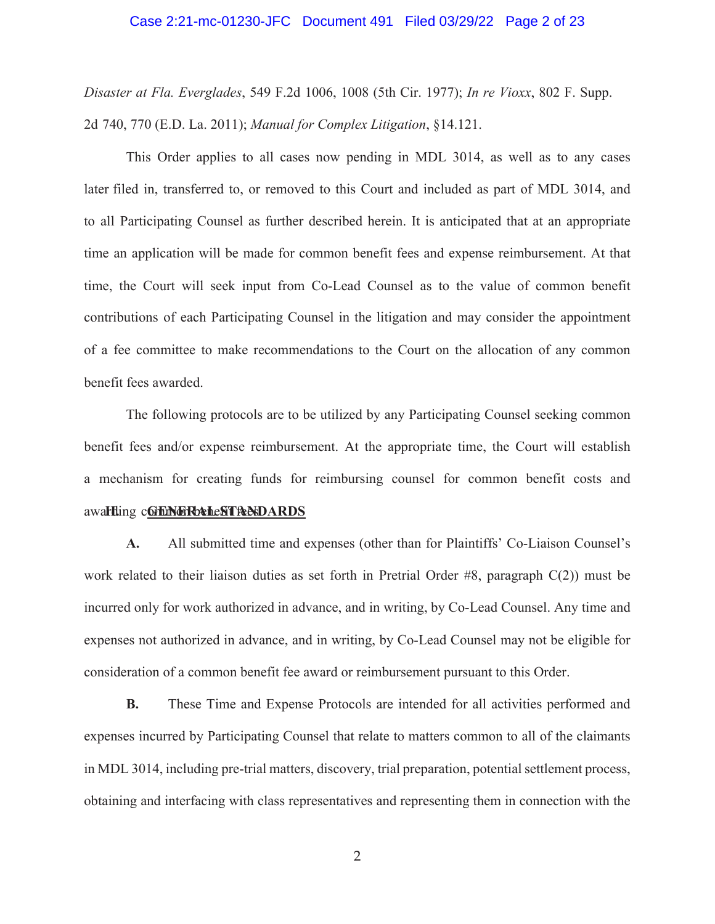#### Case 2:21-mc-01230-JFC Document 491 Filed 03/29/22 Page 2 of 23

*Disaster at Fla. Everglades*, 549 F.2d 1006, 1008 (5th Cir. 1977); *In re Vioxx*, 802 F. Supp. 2d 740, 770 (E.D. La. 2011); *Manual for Complex Litigation*, §14.121.

This Order applies to all cases now pending in MDL 3014, as well as to any cases later filed in, transferred to, or removed to this Court and included as part of MDL 3014, and to all Participating Counsel as further described herein. It is anticipated that at an appropriate time an application will be made for common benefit fees and expense reimbursement. At that time, the Court will seek input from Co-Lead Counsel as to the value of common benefit contributions of each Participating Counsel in the litigation and may consider the appointment of a fee committee to make recommendations to the Court on the allocation of any common benefit fees awarded.

awarding c**GrENGRb&heSTReNDARDS** The following protocols are to be utilized by any Participating Counsel seeking common benefit fees and/or expense reimbursement. At the appropriate time, the Court will establish a mechanism for creating funds for reimbursing counsel for common benefit costs and

**A.** All submitted time and expenses (other than for Plaintiffs' Co-Liaison Counsel's work related to their liaison duties as set forth in Pretrial Order #8, paragraph C(2)) must be incurred only for work authorized in advance, and in writing, by Co-Lead Counsel. Any time and expenses not authorized in advance, and in writing, by Co-Lead Counsel may not be eligible for consideration of a common benefit fee award or reimbursement pursuant to this Order.

**B.** These Time and Expense Protocols are intended for all activities performed and expenses incurred by Participating Counsel that relate to matters common to all of the claimants in MDL 3014, including pre-trial matters, discovery, trial preparation, potential settlement process, obtaining and interfacing with class representatives and representing them in connection with the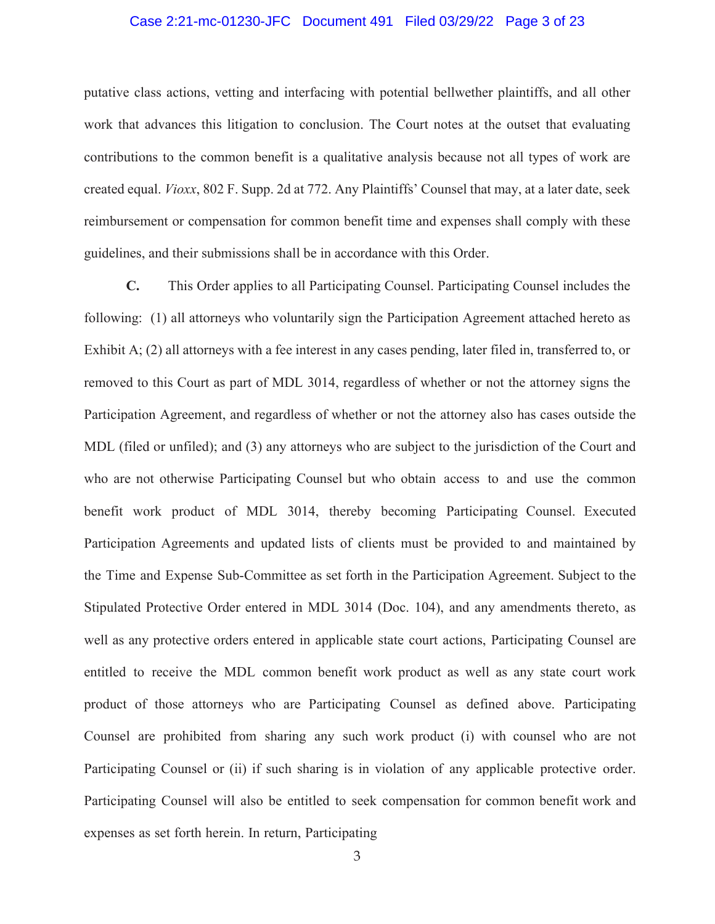#### Case 2:21-mc-01230-JFC Document 491 Filed 03/29/22 Page 3 of 23

putative class actions, vetting and interfacing with potential bellwether plaintiffs, and all other work that advances this litigation to conclusion. The Court notes at the outset that evaluating contributions to the common benefit is a qualitative analysis because not all types of work are created equal. *Vioxx*, 802 F. Supp. 2d at 772. Any Plaintiffs' Counsel that may, at a later date, seek reimbursement or compensation for common benefit time and expenses shall comply with these guidelines, and their submissions shall be in accordance with this Order.

**C.** This Order applies to all Participating Counsel. Participating Counsel includes the following: (1) all attorneys who voluntarily sign the Participation Agreement attached hereto as Exhibit A; (2) all attorneys with a fee interest in any cases pending, later filed in, transferred to, or removed to this Court as part of MDL 3014, regardless of whether or not the attorney signs the Participation Agreement, and regardless of whether or not the attorney also has cases outside the MDL (filed or unfiled); and (3) any attorneys who are subject to the jurisdiction of the Court and who are not otherwise Participating Counsel but who obtain access to and use the common benefit work product of MDL 3014, thereby becoming Participating Counsel. Executed Participation Agreements and updated lists of clients must be provided to and maintained by the Time and Expense Sub-Committee as set forth in the Participation Agreement. Subject to the Stipulated Protective Order entered in MDL 3014 (Doc. 104), and any amendments thereto, as well as any protective orders entered in applicable state court actions, Participating Counsel are entitled to receive the MDL common benefit work product as well as any state court work product of those attorneys who are Participating Counsel as defined above. Participating Counsel are prohibited from sharing any such work product (i) with counsel who are not Participating Counsel or (ii) if such sharing is in violation of any applicable protective order. Participating Counsel will also be entitled to seek compensation for common benefit work and expenses as set forth herein. In return, Participating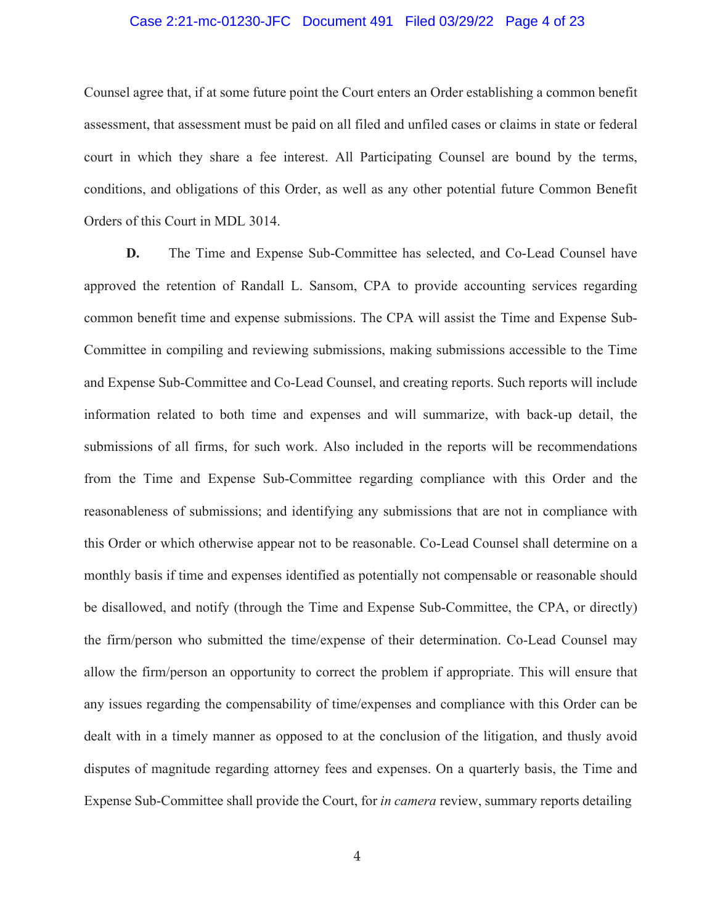### Case 2:21-mc-01230-JFC Document 491 Filed 03/29/22 Page 4 of 23

Counsel agree that, if at some future point the Court enters an Order establishing a common benefit assessment, that assessment must be paid on all filed and unfiled cases or claims in state or federal court in which they share a fee interest. All Participating Counsel are bound by the terms, conditions, and obligations of this Order, as well as any other potential future Common Benefit Orders of this Court in MDL 3014.

**D.** The Time and Expense Sub-Committee has selected, and Co-Lead Counsel have approved the retention of Randall L. Sansom, CPA to provide accounting services regarding common benefit time and expense submissions. The CPA will assist the Time and Expense Sub-Committee in compiling and reviewing submissions, making submissions accessible to the Time and Expense Sub-Committee and Co-Lead Counsel, and creating reports. Such reports will include information related to both time and expenses and will summarize, with back-up detail, the submissions of all firms, for such work. Also included in the reports will be recommendations from the Time and Expense Sub-Committee regarding compliance with this Order and the reasonableness of submissions; and identifying any submissions that are not in compliance with this Order or which otherwise appear not to be reasonable. Co-Lead Counsel shall determine on a monthly basis if time and expenses identified as potentially not compensable or reasonable should be disallowed, and notify (through the Time and Expense Sub-Committee, the CPA, or directly) the firm/person who submitted the time/expense of their determination. Co-Lead Counsel may allow the firm/person an opportunity to correct the problem if appropriate. This will ensure that any issues regarding the compensability of time/expenses and compliance with this Order can be dealt with in a timely manner as opposed to at the conclusion of the litigation, and thusly avoid disputes of magnitude regarding attorney fees and expenses. On a quarterly basis, the Time and Expense Sub-Committee shall provide the Court, for *in camera* review, summary reports detailing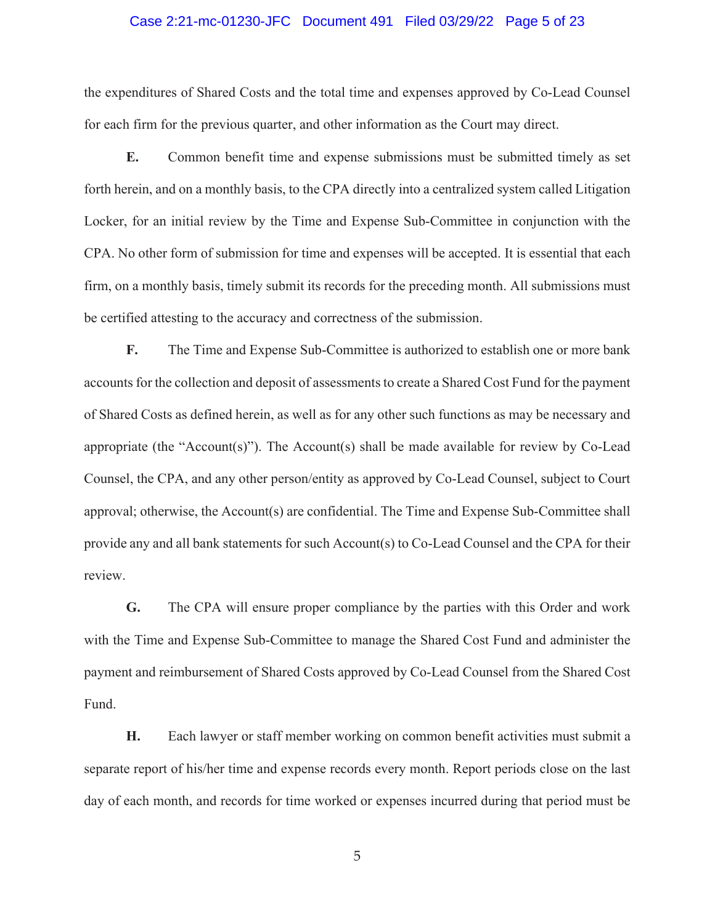#### Case 2:21-mc-01230-JFC Document 491 Filed 03/29/22 Page 5 of 23

the expenditures of Shared Costs and the total time and expenses approved by Co-Lead Counsel for each firm for the previous quarter, and other information as the Court may direct.

**E.** Common benefit time and expense submissions must be submitted timely as set forth herein, and on a monthly basis, to the CPA directly into a centralized system called Litigation Locker, for an initial review by the Time and Expense Sub-Committee in conjunction with the CPA. No other form of submission for time and expenses will be accepted. It is essential that each firm, on a monthly basis, timely submit its records for the preceding month. All submissions must be certified attesting to the accuracy and correctness of the submission.

**F.** The Time and Expense Sub-Committee is authorized to establish one or more bank accounts for the collection and deposit of assessments to create a Shared Cost Fund for the payment of Shared Costs as defined herein, as well as for any other such functions as may be necessary and appropriate (the "Account(s)"). The Account(s) shall be made available for review by Co-Lead Counsel, the CPA, and any other person/entity as approved by Co-Lead Counsel, subject to Court approval; otherwise, the Account(s) are confidential. The Time and Expense Sub-Committee shall provide any and all bank statements for such Account(s) to Co-Lead Counsel and the CPA for their review.

**G.** The CPA will ensure proper compliance by the parties with this Order and work with the Time and Expense Sub-Committee to manage the Shared Cost Fund and administer the payment and reimbursement of Shared Costs approved by Co-Lead Counsel from the Shared Cost Fund.

**H.** Each lawyer or staff member working on common benefit activities must submit a separate report of his/her time and expense records every month. Report periods close on the last day of each month, and records for time worked or expenses incurred during that period must be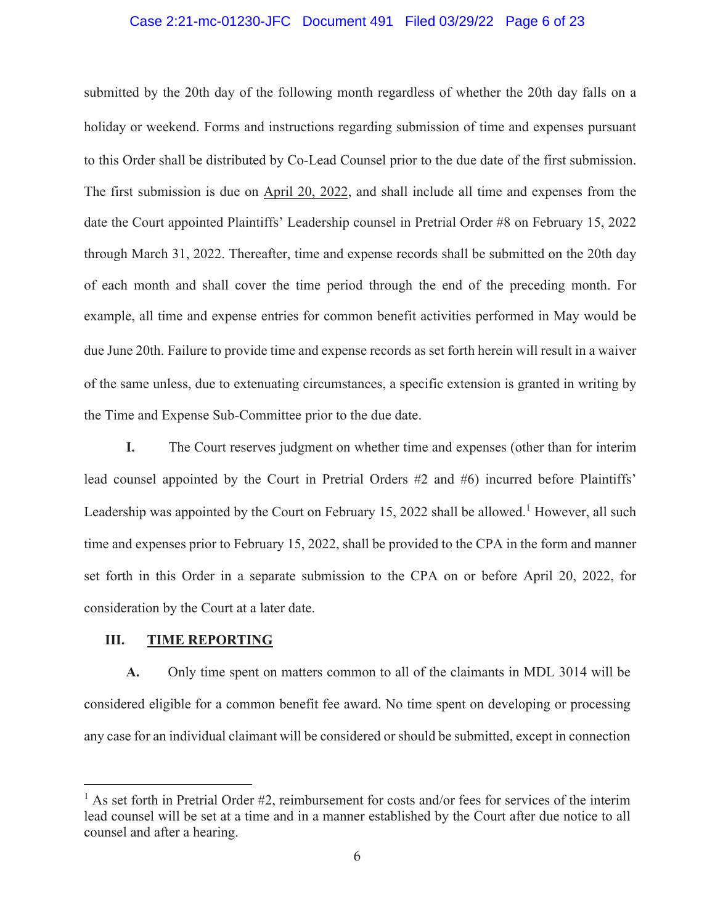### Case 2:21-mc-01230-JFC Document 491 Filed 03/29/22 Page 6 of 23

submitted by the 20th day of the following month regardless of whether the 20th day falls on a holiday or weekend. Forms and instructions regarding submission of time and expenses pursuant to this Order shall be distributed by Co-Lead Counsel prior to the due date of the first submission. The first submission is due on April 20, 2022, and shall include all time and expenses from the date the Court appointed Plaintiffs' Leadership counsel in Pretrial Order #8 on February 15, 2022 through March 31, 2022. Thereafter, time and expense records shall be submitted on the 20th day of each month and shall cover the time period through the end of the preceding month. For example, all time and expense entries for common benefit activities performed in May would be due June 20th. Failure to provide time and expense records as set forth herein will result in a waiver of the same unless, due to extenuating circumstances, a specific extension is granted in writing by the Time and Expense Sub-Committee prior to the due date.

**I.** The Court reserves judgment on whether time and expenses (other than for interim lead counsel appointed by the Court in Pretrial Orders #2 and #6) incurred before Plaintiffs' Leadership was appointed by the Court on February 15, 2022 shall be allowed.<sup>1</sup> However, all such time and expenses prior to February 15, 2022, shall be provided to the CPA in the form and manner set forth in this Order in a separate submission to the CPA on or before April 20, 2022, for consideration by the Court at a later date.

# **III. TIME REPORTING**

**A.** Only time spent on matters common to all of the claimants in MDL 3014 will be considered eligible for a common benefit fee award. No time spent on developing or processing any case for an individual claimant will be considered or should be submitted, except in connection

<sup>&</sup>lt;sup>1</sup> As set forth in Pretrial Order #2, reimbursement for costs and/or fees for services of the interim lead counsel will be set at a time and in a manner established by the Court after due notice to all counsel and after a hearing.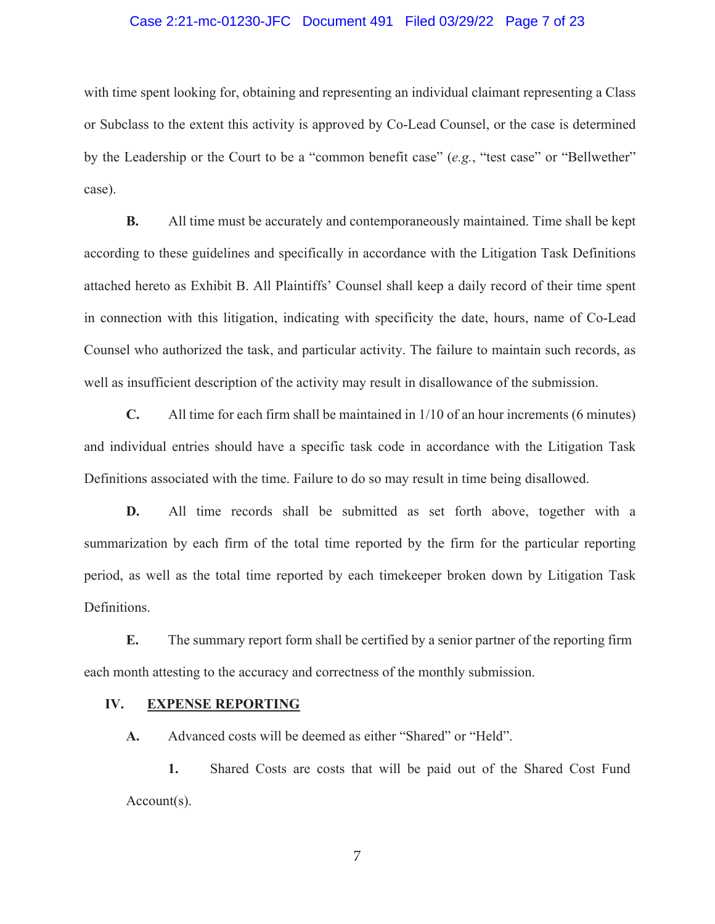### Case 2:21-mc-01230-JFC Document 491 Filed 03/29/22 Page 7 of 23

with time spent looking for, obtaining and representing an individual claimant representing a Class or Subclass to the extent this activity is approved by Co-Lead Counsel, or the case is determined by the Leadership or the Court to be a "common benefit case" (*e.g.*, "test case" or "Bellwether" case).

**B.** All time must be accurately and contemporaneously maintained. Time shall be kept according to these guidelines and specifically in accordance with the Litigation Task Definitions attached hereto as Exhibit B. All Plaintiffs' Counsel shall keep a daily record of their time spent in connection with this litigation, indicating with specificity the date, hours, name of Co-Lead Counsel who authorized the task, and particular activity. The failure to maintain such records, as well as insufficient description of the activity may result in disallowance of the submission.

**C.** All time for each firm shall be maintained in 1/10 of an hour increments (6 minutes) and individual entries should have a specific task code in accordance with the Litigation Task Definitions associated with the time. Failure to do so may result in time being disallowed.

**D.** All time records shall be submitted as set forth above, together with a summarization by each firm of the total time reported by the firm for the particular reporting period, as well as the total time reported by each timekeeper broken down by Litigation Task Definitions.

**E.** The summary report form shall be certified by a senior partner of the reporting firm each month attesting to the accuracy and correctness of the monthly submission.

#### **IV. EXPENSE REPORTING**

**A.** Advanced costs will be deemed as either "Shared" or "Held".

**1.** Shared Costs are costs that will be paid out of the Shared Cost Fund Account(s).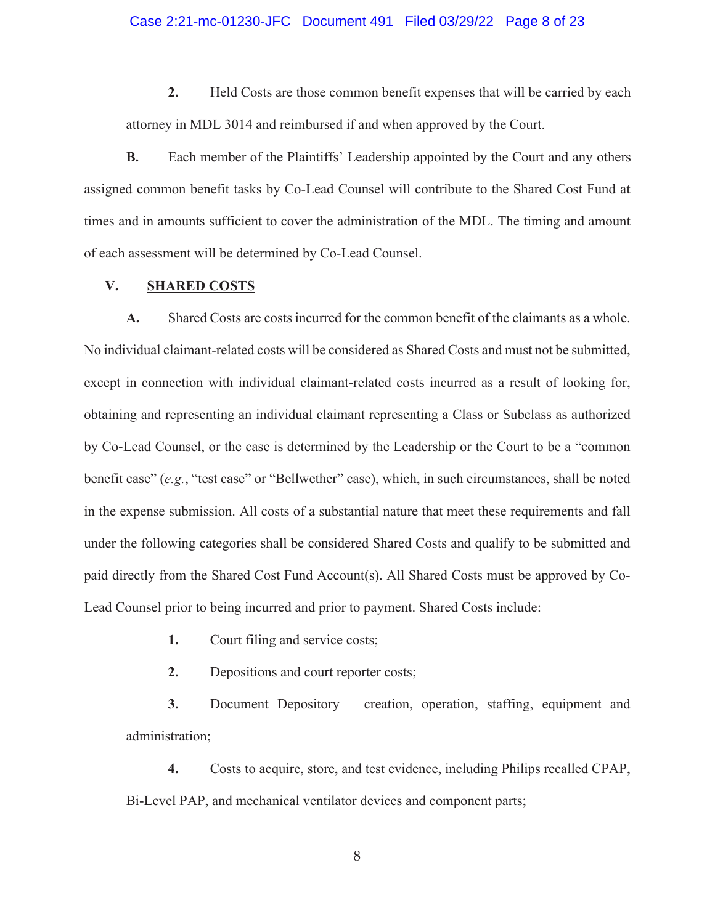#### Case 2:21-mc-01230-JFC Document 491 Filed 03/29/22 Page 8 of 23

**2.** Held Costs are those common benefit expenses that will be carried by each attorney in MDL 3014 and reimbursed if and when approved by the Court.

assigned common benefit tasks by Co-Lead Counsel will contribute to the Shared Cost Fund at times and in amounts sufficient to cover the administration of the MDL. The timing and amount of each assessment will be determined by Co-Lead Counsel. **B.** Each member of the Plaintiffs' Leadership appointed by the Court and any others

# **V. SHARED COSTS**

**A.** Shared Costs are costs incurred for the common benefit of the claimants as a whole. No individual claimant-related costs will be considered as Shared Costs and must not be submitted, except in connection with individual claimant-related costs incurred as a result of looking for, obtaining and representing an individual claimant representing a Class or Subclass as authorized by Co-Lead Counsel, or the case is determined by the Leadership or the Court to be a "common benefit case" (*e.g.*, "test case" or "Bellwether" case), which, in such circumstances, shall be noted in the expense submission. All costs of a substantial nature that meet these requirements and fall under the following categories shall be considered Shared Costs and qualify to be submitted and paid directly from the Shared Cost Fund Account(s). All Shared Costs must be approved by Co-Lead Counsel prior to being incurred and prior to payment. Shared Costs include:

- **1.** Court filing and service costs;
- **2.** Depositions and court reporter costs;

**3.** Document Depository – creation, operation, staffing, equipment and administration;

**4.** Costs to acquire, store, and test evidence, including Philips recalled CPAP, Bi-Level PAP, and mechanical ventilator devices and component parts;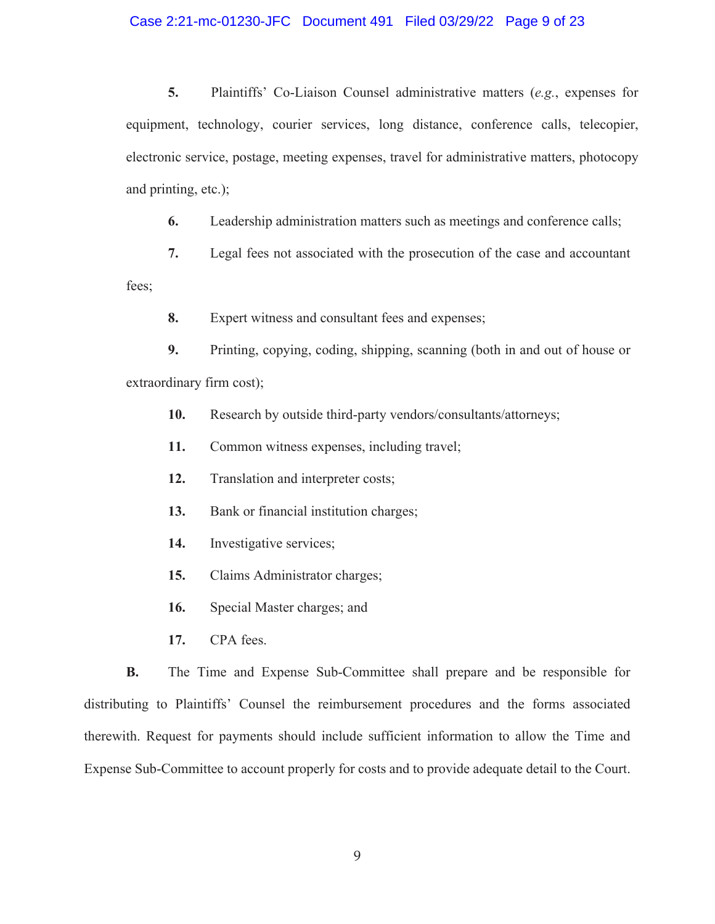## Case 2:21-mc-01230-JFC Document 491 Filed 03/29/22 Page 9 of 23

**5.** Plaintiffs' Co-Liaison Counsel administrative matters (*e.g.*, expenses for equipment, technology, courier services, long distance, conference calls, telecopier, electronic service, postage, meeting expenses, travel for administrative matters, photocopy and printing, etc.);

**6.** Leadership administration matters such as meetings and conference calls;

**7.** Legal fees not associated with the prosecution of the case and accountant

fees;

**8.** Expert witness and consultant fees and expenses;

**9.** Printing, copying, coding, shipping, scanning (both in and out of house or extraordinary firm cost);

**10.** Research by outside third-party vendors/consultants/attorneys;

**11.** Common witness expenses, including travel;

**12.** Translation and interpreter costs;

**13.** Bank or financial institution charges;

**14.** Investigative services;

**15.** Claims Administrator charges;

**16.** Special Master charges; and

**17.** CPA fees.

**B.** The Time and Expense Sub-Committee shall prepare and be responsible for distributing to Plaintiffs' Counsel the reimbursement procedures and the forms associated therewith. Request for payments should include sufficient information to allow the Time and Expense Sub-Committee to account properly for costs and to provide adequate detail to the Court.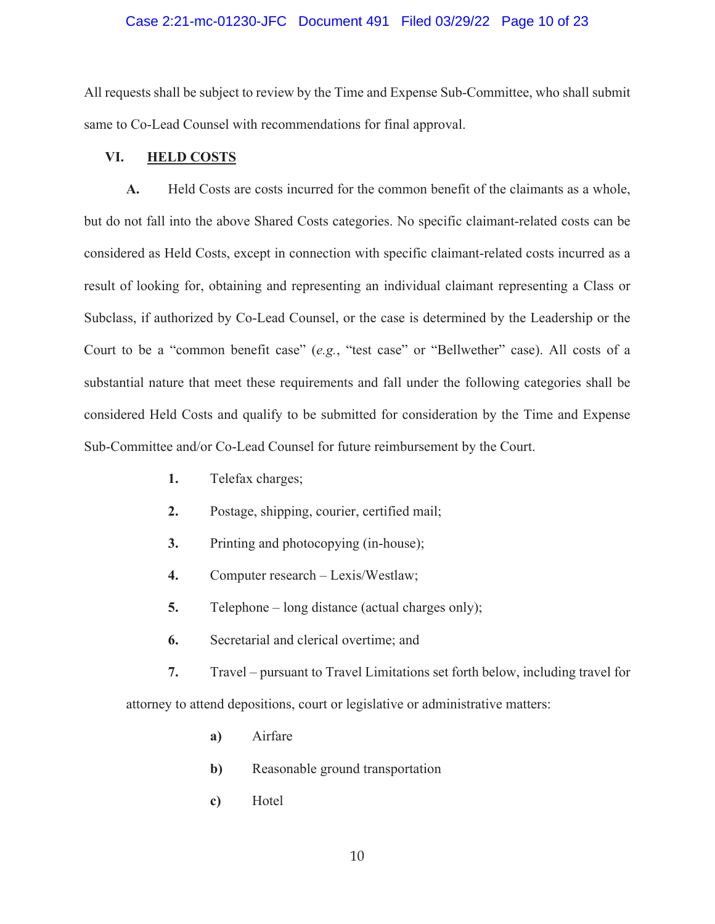#### Case 2:21-mc-01230-JFC Document 491 Filed 03/29/22 Page 10 of 23

All requests shall be subject to review by the Time and Expense Sub-Committee, who shall submit same to Co-Lead Counsel with recommendations for final approval.

## **VI. HELD COSTS**

**A.** Held Costs are costs incurred for the common benefit of the claimants as a whole, but do not fall into the above Shared Costs categories. No specific claimant-related costs can be considered as Held Costs, except in connection with specific claimant-related costs incurred as a result of looking for, obtaining and representing an individual claimant representing a Class or Subclass, if authorized by Co-Lead Counsel, or the case is determined by the Leadership or the Court to be a "common benefit case" (*e.g.*, "test case" or "Bellwether" case). All costs of a substantial nature that meet these requirements and fall under the following categories shall be considered Held Costs and qualify to be submitted for consideration by the Time and Expense Sub-Committee and/or Co-Lead Counsel for future reimbursement by the Court.

- **1.** Telefax charges;
- **2.** Postage, shipping, courier, certified mail;
- **3.** Printing and photocopying (in-house);
- **4.** Computer research Lexis/Westlaw;
- **5.** Telephone long distance (actual charges only);
- **6.** Secretarial and clerical overtime; and

**7.** Travel – pursuant to Travel Limitations set forth below, including travel for attorney to attend depositions, court or legislative or administrative matters:

- **a)** Airfare
- **b**) Reasonable ground transportation
- **c)** Hotel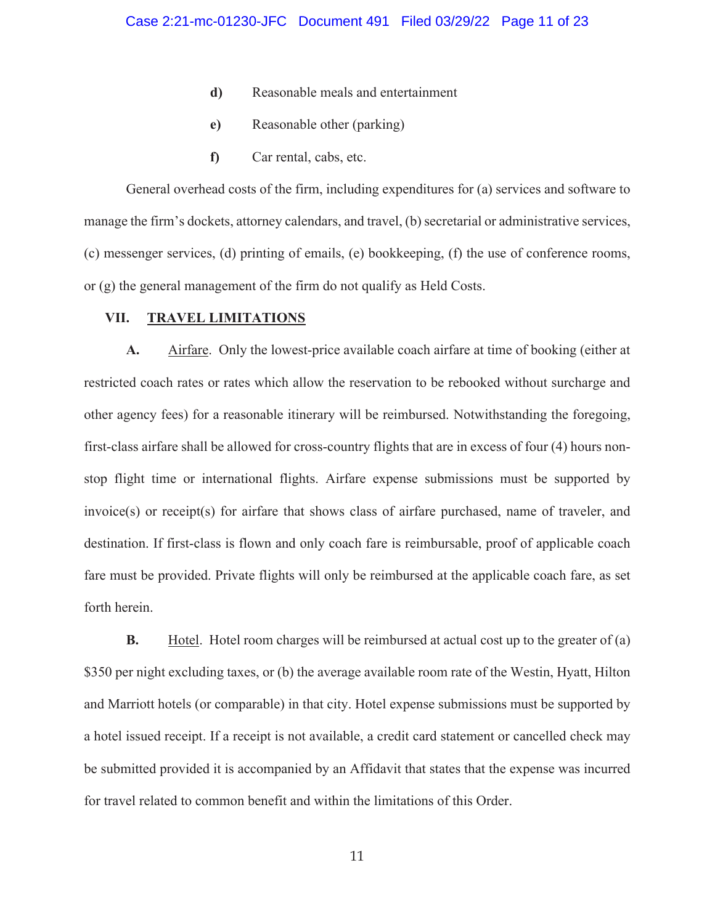- **d)** Reasonable meals and entertainment
- **e)** Reasonable other (parking)
- **f)** Car rental, cabs, etc.

General overhead costs of the firm, including expenditures for (a) services and software to manage the firm's dockets, attorney calendars, and travel, (b) secretarial or administrative services, (c) messenger services, (d) printing of emails, (e) bookkeeping, (f) the use of conference rooms, or (g) the general management of the firm do not qualify as Held Costs.

#### **VII. TRAVEL LIMITATIONS**

**A.** Airfare. Only the lowest-price available coach airfare at time of booking (either at restricted coach rates or rates which allow the reservation to be rebooked without surcharge and other agency fees) for a reasonable itinerary will be reimbursed. Notwithstanding the foregoing, first-class airfare shall be allowed for cross-country flights that are in excess of four (4) hours nonstop flight time or international flights. Airfare expense submissions must be supported by invoice(s) or receipt(s) for airfare that shows class of airfare purchased, name of traveler, and destination. If first-class is flown and only coach fare is reimbursable, proof of applicable coach fare must be provided. Private flights will only be reimbursed at the applicable coach fare, as set forth herein.

**B.** Hotel. Hotel room charges will be reimbursed at actual cost up to the greater of (a) \$350 per night excluding taxes, or (b) the average available room rate of the Westin, Hyatt, Hilton and Marriott hotels (or comparable) in that city. Hotel expense submissions must be supported by a hotel issued receipt. If a receipt is not available, a credit card statement or cancelled check may be submitted provided it is accompanied by an Affidavit that states that the expense was incurred for travel related to common benefit and within the limitations of this Order.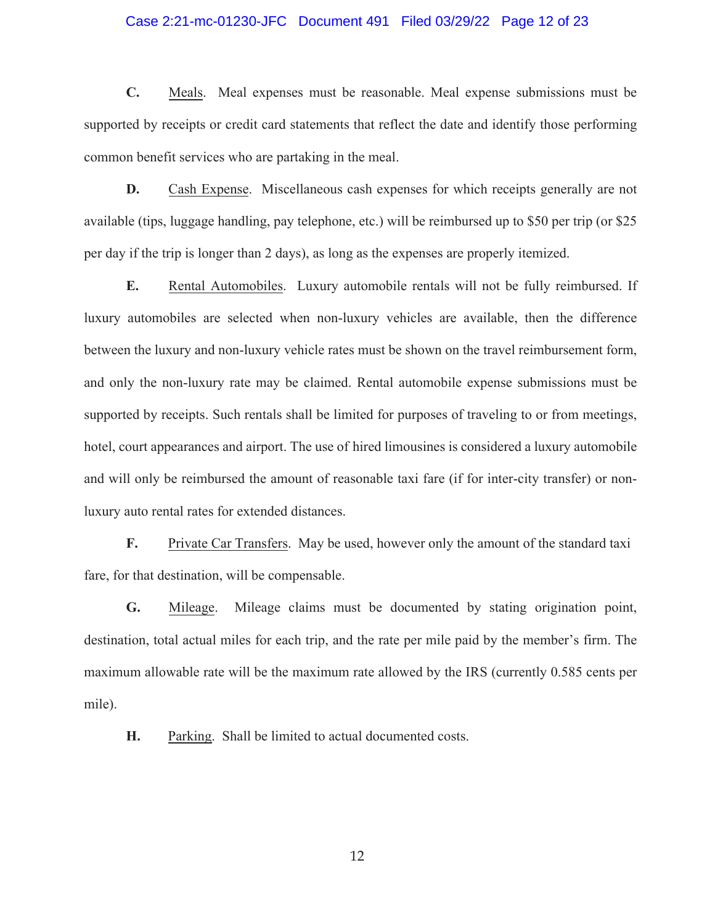#### Case 2:21-mc-01230-JFC Document 491 Filed 03/29/22 Page 12 of 23

**C.** Meals. Meal expenses must be reasonable. Meal expense submissions must be supported by receipts or credit card statements that reflect the date and identify those performing common benefit services who are partaking in the meal.

**D.** Cash Expense. Miscellaneous cash expenses for which receipts generally are not available (tips, luggage handling, pay telephone, etc.) will be reimbursed up to \$50 per trip (or \$25 per day if the trip is longer than 2 days), as long as the expenses are properly itemized.

**E.** Rental Automobiles. Luxury automobile rentals will not be fully reimbursed. If luxury automobiles are selected when non-luxury vehicles are available, then the difference between the luxury and non-luxury vehicle rates must be shown on the travel reimbursement form, and only the non-luxury rate may be claimed. Rental automobile expense submissions must be supported by receipts. Such rentals shall be limited for purposes of traveling to or from meetings, hotel, court appearances and airport. The use of hired limousines is considered a luxury automobile and will only be reimbursed the amount of reasonable taxi fare (if for inter-city transfer) or nonluxury auto rental rates for extended distances.

**F.** Private Car Transfers. May be used, however only the amount of the standard taxi fare, for that destination, will be compensable.

**G.** Mileage.Mileage claims must be documented by stating origination point, destination, total actual miles for each trip, and the rate per mile paid by the member's firm. The maximum allowable rate will be the maximum rate allowed by the IRS (currently 0.585 cents per mile).

**H.** Parking. Shall be limited to actual documented costs.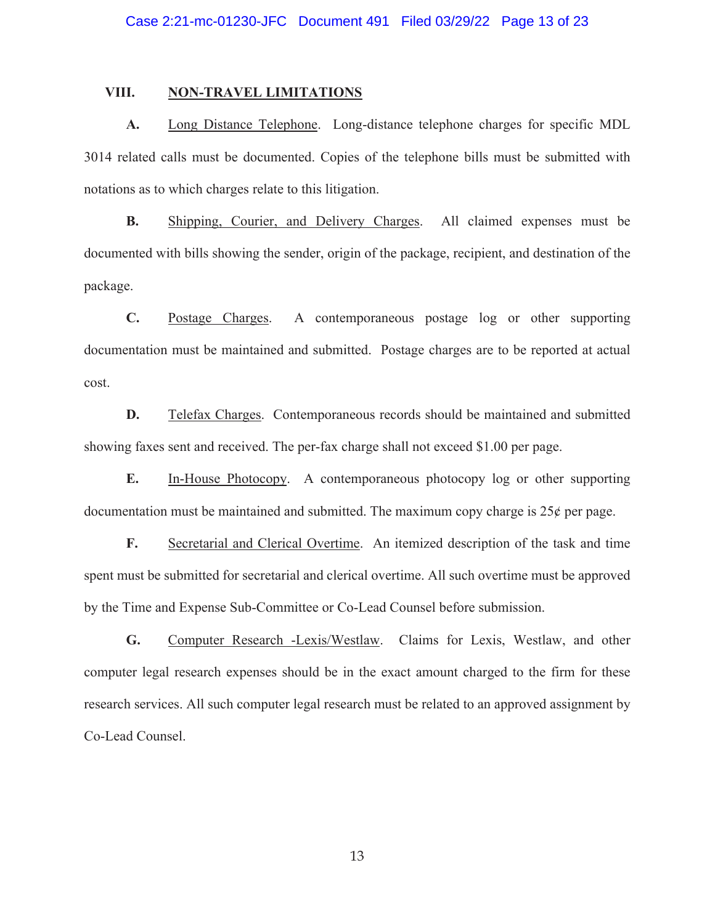#### **VIII. NON-TRAVEL LIMITATIONS**

**A.** Long Distance Telephone. Long-distance telephone charges for specific MDL 3014 related calls must be documented. Copies of the telephone bills must be submitted with notations as to which charges relate to this litigation.

**B.** Shipping, Courier, and Delivery Charges. All claimed expenses must be documented with bills showing the sender, origin of the package, recipient, and destination of the package.

**C.** Postage Charges. A contemporaneous postage log or other supporting documentation must be maintained and submitted. Postage charges are to be reported at actual cost.

**D.** Telefax Charges. Contemporaneous records should be maintained and submitted showing faxes sent and received. The per-fax charge shall not exceed \$1.00 per page.

**E.** In-House Photocopy. A contemporaneous photocopy log or other supporting documentation must be maintained and submitted. The maximum copy charge is  $25¢$  per page.

**F.** Secretarial and Clerical Overtime. An itemized description of the task and time spent must be submitted for secretarial and clerical overtime. All such overtime must be approved by the Time and Expense Sub-Committee or Co-Lead Counsel before submission.

**G.** Computer Research -Lexis/Westlaw. Claims for Lexis, Westlaw, and other computer legal research expenses should be in the exact amount charged to the firm for these research services. All such computer legal research must be related to an approved assignment by Co-Lead Counsel.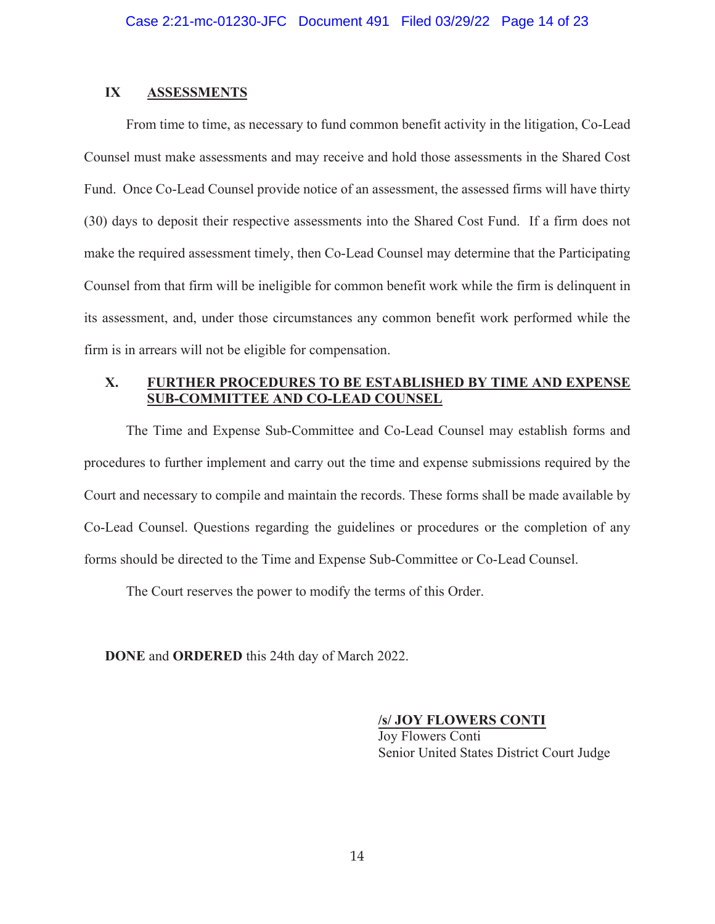# **IX ASSESSMENTS**

From time to time, as necessary to fund common benefit activity in the litigation, Co-Lead Counsel must make assessments and may receive and hold those assessments in the Shared Cost Fund. Once Co-Lead Counsel provide notice of an assessment, the assessed firms will have thirty (30) days to deposit their respective assessments into the Shared Cost Fund. If a firm does not make the required assessment timely, then Co-Lead Counsel may determine that the Participating Counsel from that firm will be ineligible for common benefit work while the firm is delinquent in its assessment, and, under those circumstances any common benefit work performed while the firm is in arrears will not be eligible for compensation.

# **X. FURTHER PROCEDURES TO BE ESTABLISHED BY TIME AND EXPENSE SUB-COMMITTEE AND CO-LEAD COUNSEL**

The Time and Expense Sub-Committee and Co-Lead Counsel may establish forms and procedures to further implement and carry out the time and expense submissions required by the Court and necessary to compile and maintain the records. These forms shall be made available by Co-Lead Counsel. Questions regarding the guidelines or procedures or the completion of any forms should be directed to the Time and Expense Sub-Committee or Co-Lead Counsel.

The Court reserves the power to modify the terms of this Order.

**DONE** and **ORDERED** this 24th day of March 2022.

## **/s/ JOY FLOWERS CONTI**

Jov Flowers Conti Senior United States District Court Judge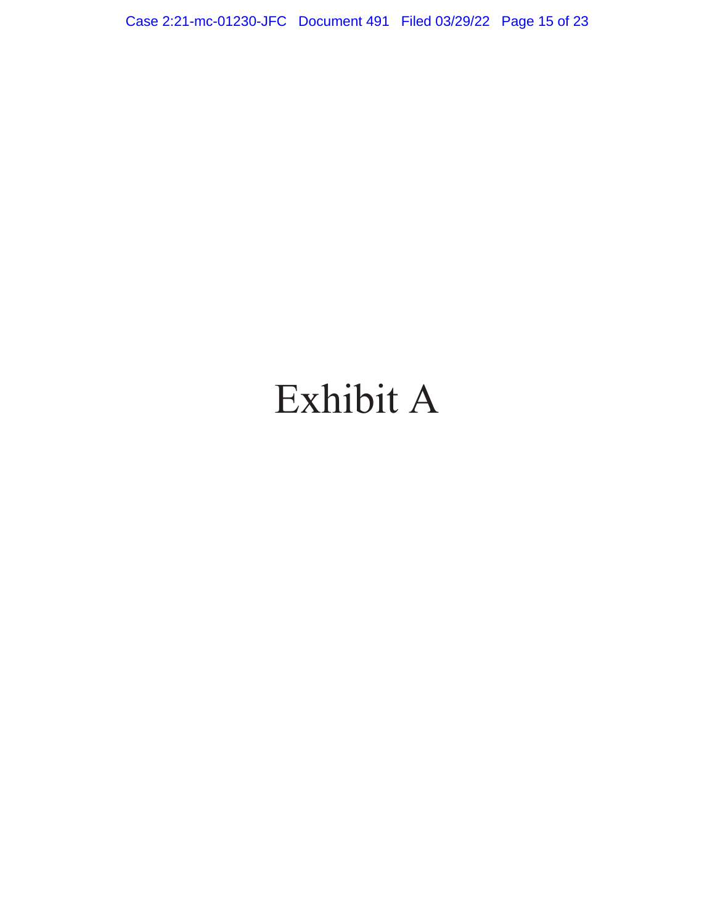Case 2:21-mc-01230-JFC Document 491 Filed 03/29/22 Page 15 of 23

# Exhibit A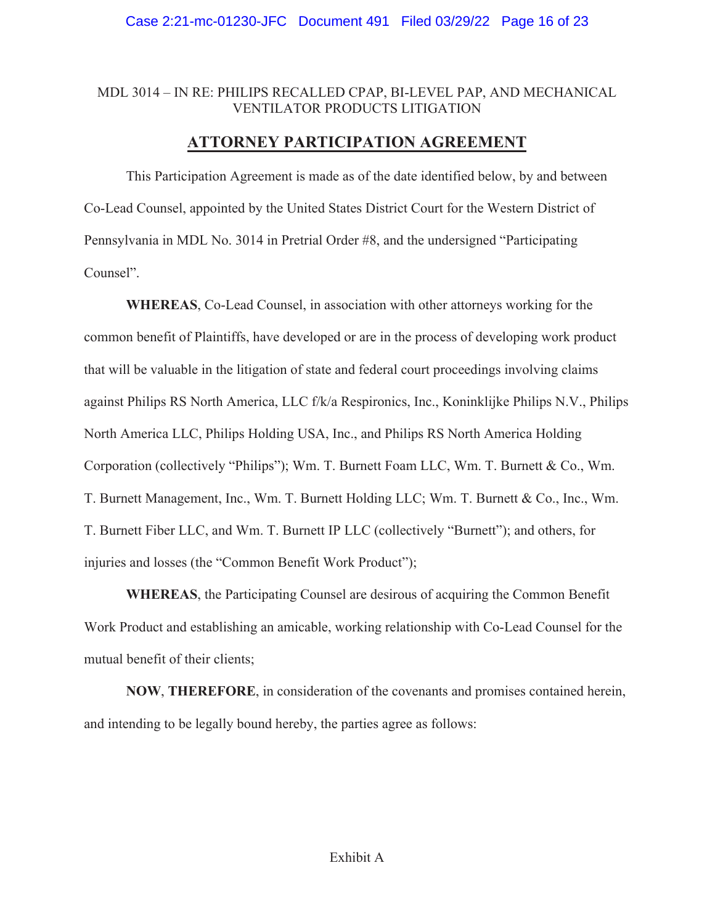# MDL 3014 – IN RE: PHILIPS RECALLED CPAP, BI-LEVEL PAP, AND MECHANICAL VENTILATOR PRODUCTS LITIGATION

# **ATTORNEY PARTICIPATION AGREEMENT**

This Participation Agreement is made as of the date identified below, by and between Co-Lead Counsel, appointed by the United States District Court for the Western District of Pennsylvania in MDL No. 3014 in Pretrial Order #8, and the undersigned "Participating Counsel".

**WHEREAS**, Co-Lead Counsel, in association with other attorneys working for the common benefit of Plaintiffs, have developed or are in the process of developing work product that will be valuable in the litigation of state and federal court proceedings involving claims against Philips RS North America, LLC f/k/a Respironics, Inc., Koninklijke Philips N.V., Philips North America LLC, Philips Holding USA, Inc., and Philips RS North America Holding Corporation (collectively "Philips"); Wm. T. Burnett Foam LLC, Wm. T. Burnett & Co., Wm. T. Burnett Management, Inc., Wm. T. Burnett Holding LLC; Wm. T. Burnett & Co., Inc., Wm. T. Burnett Fiber LLC, and Wm. T. Burnett IP LLC (collectively "Burnett"); and others, for injuries and losses (the "Common Benefit Work Product");

**WHEREAS**, the Participating Counsel are desirous of acquiring the Common Benefit Work Product and establishing an amicable, working relationship with Co-Lead Counsel for the mutual benefit of their clients;

**NOW**, **THEREFORE**, in consideration of the covenants and promises contained herein, and intending to be legally bound hereby, the parties agree as follows: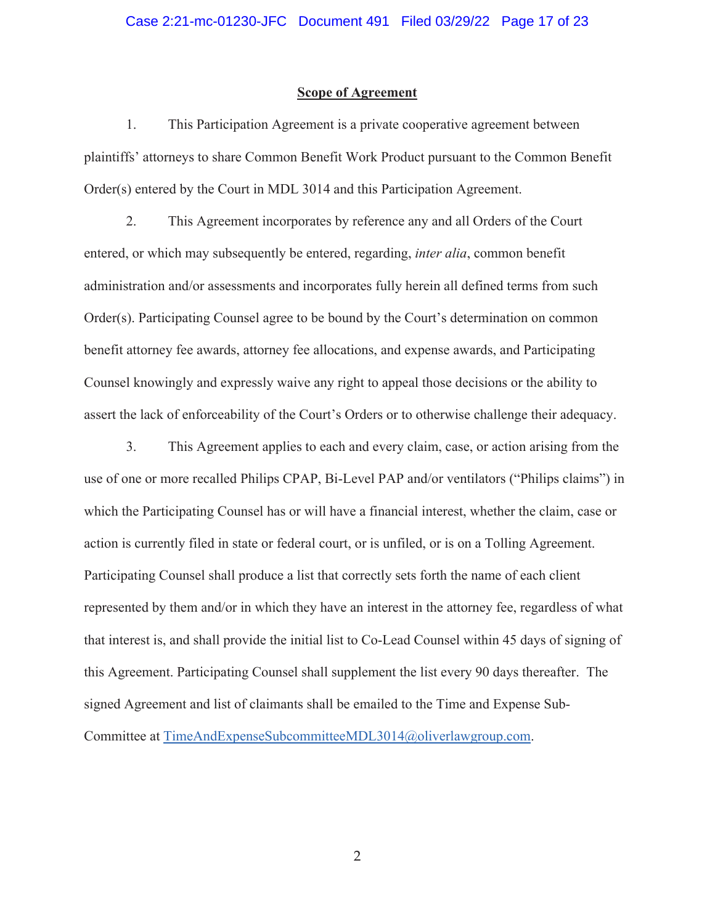## **Scope of Agreement**

1. This Participation Agreement is a private cooperative agreement between plaintiffs' attorneys to share Common Benefit Work Product pursuant to the Common Benefit Order(s) entered by the Court in MDL 3014 and this Participation Agreement.

2. This Agreement incorporates by reference any and all Orders of the Court entered, or which may subsequently be entered, regarding, *inter alia*, common benefit administration and/or assessments and incorporates fully herein all defined terms from such Order(s). Participating Counsel agree to be bound by the Court's determination on common benefit attorney fee awards, attorney fee allocations, and expense awards, and Participating Counsel knowingly and expressly waive any right to appeal those decisions or the ability to assert the lack of enforceability of the Court's Orders or to otherwise challenge their adequacy.

3. This Agreement applies to each and every claim, case, or action arising from the use of one or more recalled Philips CPAP, Bi-Level PAP and/or ventilators ("Philips claims") in which the Participating Counsel has or will have a financial interest, whether the claim, case or action is currently filed in state or federal court, or is unfiled, or is on a Tolling Agreement. Participating Counsel shall produce a list that correctly sets forth the name of each client represented by them and/or in which they have an interest in the attorney fee, regardless of what that interest is, and shall provide the initial list to Co-Lead Counsel within 45 days of signing of this Agreement. Participating Counsel shall supplement the list every 90 days thereafter. The signed Agreement and list of claimants shall be emailed to the Time and Expense Sub-

Committee at TimeAndExpenseSubcommitteeMDL3014@oliverlawgroup.com.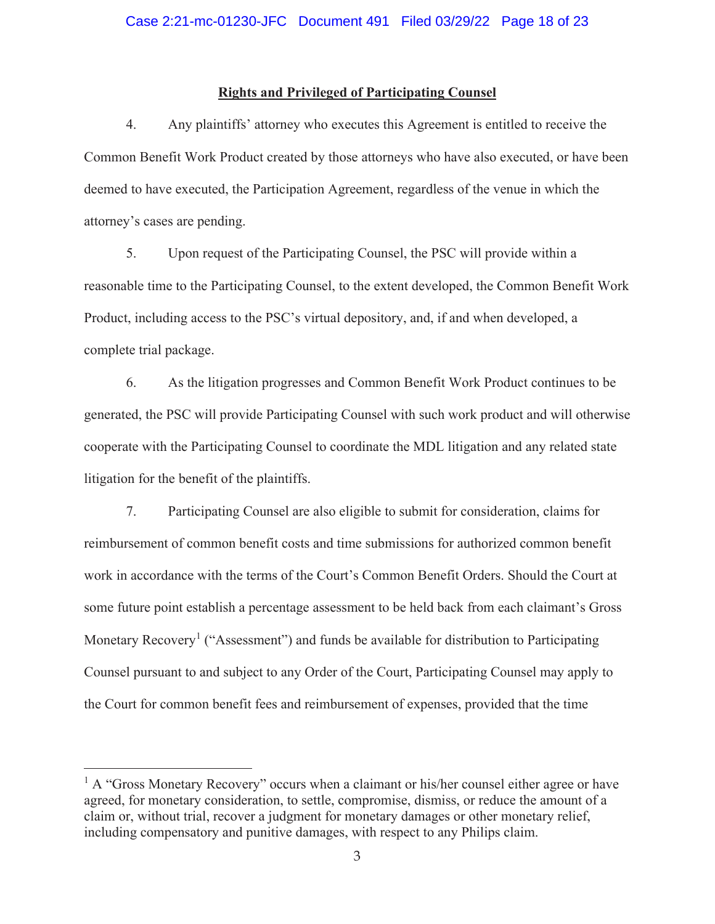## **Rights and Privileged of Participating Counsel**

4. Any plaintiffs' attorney who executes this Agreement is entitled to receive the Common Benefit Work Product created by those attorneys who have also executed, or have been deemed to have executed, the Participation Agreement, regardless of the venue in which the attorney's cases are pending.

5. Upon request of the Participating Counsel, the PSC will provide within a reasonable time to the Participating Counsel, to the extent developed, the Common Benefit Work Product, including access to the PSC's virtual depository, and, if and when developed, a complete trial package.

6. As the litigation progresses and Common Benefit Work Product continues to be generated, the PSC will provide Participating Counsel with such work product and will otherwise cooperate with the Participating Counsel to coordinate the MDL litigation and any related state litigation for the benefit of the plaintiffs.

7. Participating Counsel are also eligible to submit for consideration, claims for reimbursement of common benefit costs and time submissions for authorized common benefit work in accordance with the terms of the Court's Common Benefit Orders. Should the Court at some future point establish a percentage assessment to be held back from each claimant's Gross Monetary Recovery<sup>1</sup> ("Assessment") and funds be available for distribution to Participating Counsel pursuant to and subject to any Order of the Court, Participating Counsel may apply to the Court for common benefit fees and reimbursement of expenses, provided that the time

<sup>&</sup>lt;sup>1</sup> A "Gross Monetary Recovery" occurs when a claimant or his/her counsel either agree or have agreed, for monetary consideration, to settle, compromise, dismiss, or reduce the amount of a claim or, without trial, recover a judgment for monetary damages or other monetary relief, including compensatory and punitive damages, with respect to any Philips claim.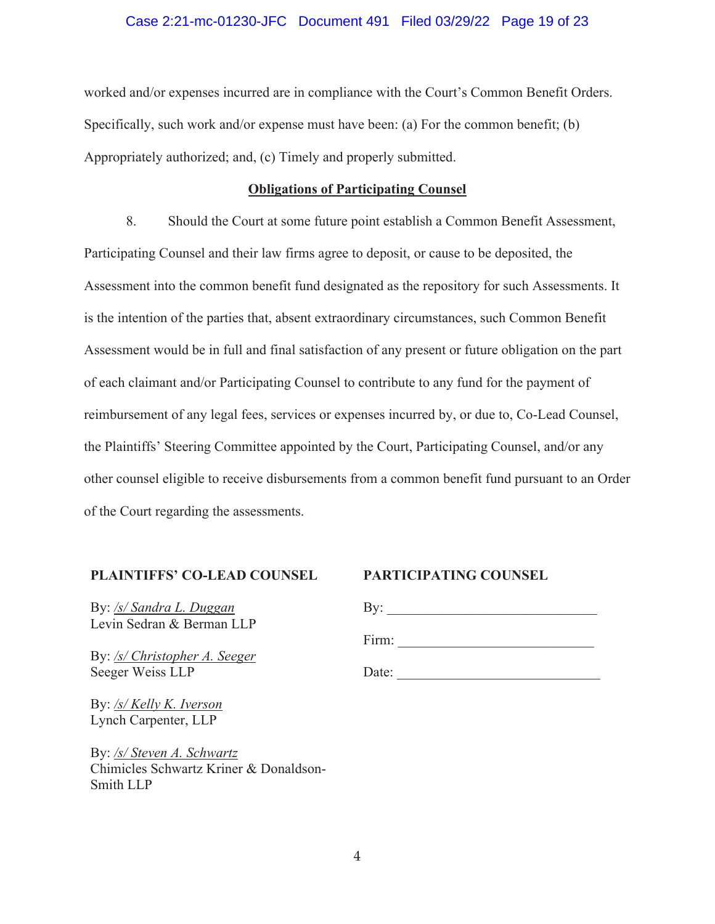## Case 2:21-mc-01230-JFC Document 491 Filed 03/29/22 Page 19 of 23

worked and/or expenses incurred are in compliance with the Court's Common Benefit Orders. Specifically, such work and/or expense must have been: (a) For the common benefit; (b) Appropriately authorized; and, (c) Timely and properly submitted.

## **Obligations of Participating Counsel**

8. Should the Court at some future point establish a Common Benefit Assessment, Participating Counsel and their law firms agree to deposit, or cause to be deposited, the Assessment into the common benefit fund designated as the repository for such Assessments. It is the intention of the parties that, absent extraordinary circumstances, such Common Benefit Assessment would be in full and final satisfaction of any present or future obligation on the part of each claimant and/or Participating Counsel to contribute to any fund for the payment of reimbursement of any legal fees, services or expenses incurred by, or due to, Co-Lead Counsel, the Plaintiffs' Steering Committee appointed by the Court, Participating Counsel, and/or any other counsel eligible to receive disbursements from a common benefit fund pursuant to an Order of the Court regarding the assessments.

# **PLAINTIFFS' CO-LEAD COUNSEL**

By: */s/ Sandra L. Duggan*  Levin Sedran & Berman LLP

By: */s/ Christopher A. Seeger*  Seeger Weiss LLP

By: */s/ Kelly K. Iverson*  Lynch Carpenter, LLP

By: */s/ Steven A. Schwartz*  Chimicles Schwartz Kriner & Donaldson-Smith LLP Sm

# **PARTICIPATING COUNSEL**

 $\text{By:}\_$ 

Firm:

Date: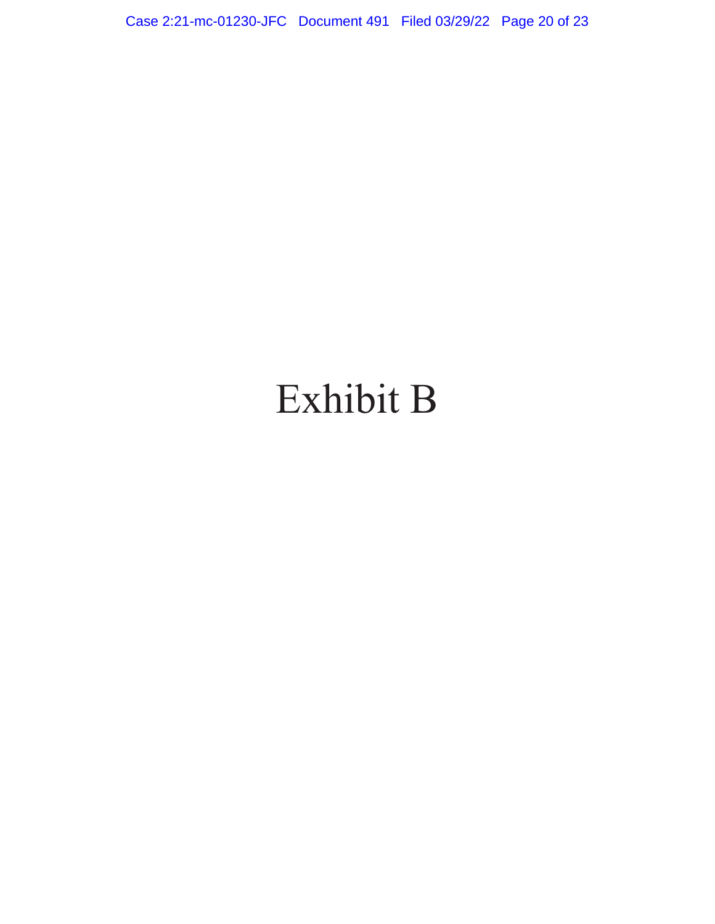Case 2:21-mc-01230-JFC Document 491 Filed 03/29/22 Page 20 of 23

# Exhibit B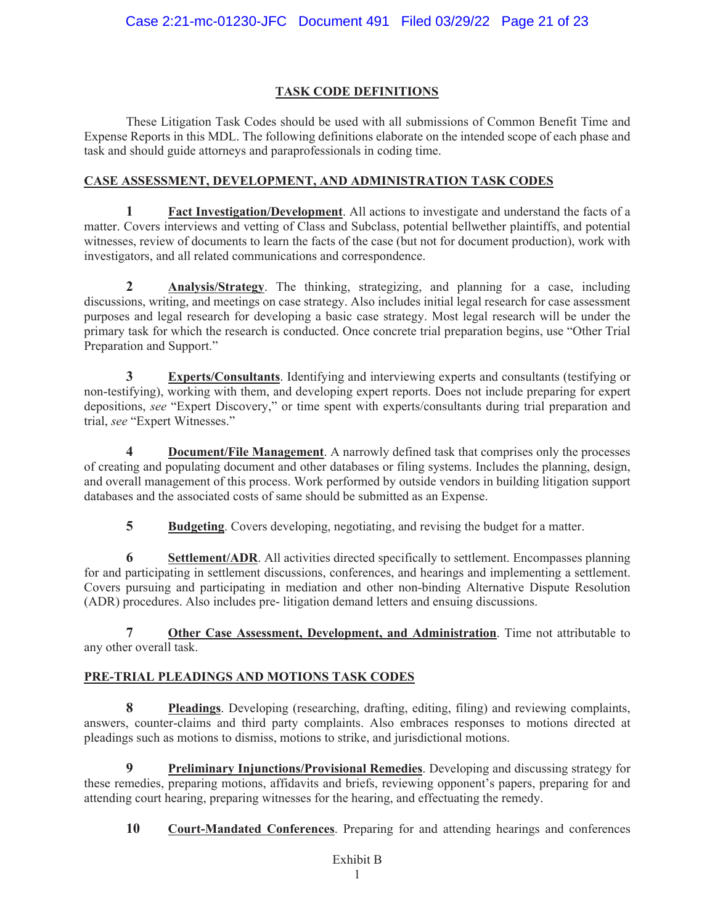## **TASK CODE DEFINITIONS**

These Litigation Task Codes should be used with all submissions of Common Benefit Time and Expense Reports in this MDL. The following definitions elaborate on the intended scope of each phase and task and should guide attorneys and paraprofessionals in coding time.

## **CASE ASSESSMENT, DEVELOPMENT, AND ADMINISTRATION TASK CODES**

**1 Fact Investigation/Development**. All actions to investigate and understand the facts of a matter. Covers interviews and vetting of Class and Subclass, potential bellwether plaintiffs, and potential witnesses, review of documents to learn the facts of the case (but not for document production), work with investigators, and all related communications and correspondence.

**2 Analysis/Strategy**. The thinking, strategizing, and planning for a case, including discussions, writing, and meetings on case strategy. Also includes initial legal research for case assessment purposes and legal research for developing a basic case strategy. Most legal research will be under the primary task for which the research is conducted. Once concrete trial preparation begins, use "Other Trial Preparation and Support."

**3 Experts/Consultants**. Identifying and interviewing experts and consultants (testifying or non-testifying), working with them, and developing expert reports. Does not include preparing for expert depositions, *see* "Expert Discovery," or time spent with experts/consultants during trial preparation and trial, *see* "Expert Witnesses."

**4 Document/File Management**. A narrowly defined task that comprises only the processes of creating and populating document and other databases or filing systems. Includes the planning, design, and overall management of this process. Work performed by outside vendors in building litigation support databases and the associated costs of same should be submitted as an Expense.

**5 Budgeting**. Covers developing, negotiating, and revising the budget for a matter.

**6 Settlement/ADR**. All activities directed specifically to settlement. Encompasses planning for and participating in settlement discussions, conferences, and hearings and implementing a settlement. Covers pursuing and participating in mediation and other non-binding Alternative Dispute Resolution (ADR) procedures. Also includes pre- litigation demand letters and ensuing discussions.

**7 Other Case Assessment, Development, and Administration**. Time not attributable to any other overall task.

# **PRE-TRIAL PLEADINGS AND MOTIONS TASK CODES**

**8 Pleadings**. Developing (researching, drafting, editing, filing) and reviewing complaints, answers, counter-claims and third party complaints. Also embraces responses to motions directed at pleadings such as motions to dismiss, motions to strike, and jurisdictional motions.

**9 Preliminary Injunctions/Provisional Remedies**. Developing and discussing strategy for these remedies, preparing motions, affidavits and briefs, reviewing opponent's papers, preparing for and attending court hearing, preparing witnesses for the hearing, and effectuating the remedy.

**10 Court-Mandated Conferences**. Preparing for and attending hearings and conferences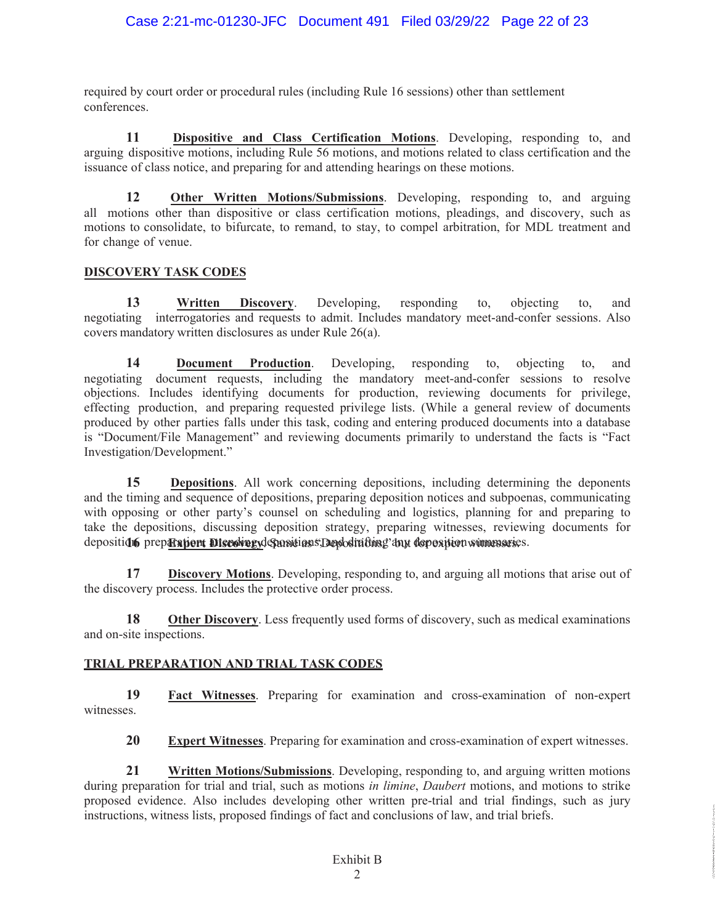required by court order or procedural rules (including Rule 16 sessions) other than settlement conferences.

**11 Dispositive and Class Certification Motions**. Developing, responding to, and arguing dispositive motions, including Rule 56 motions, and motions related to class certification and the issuance of class notice, and preparing for and attending hearings on these motions.

**12 Other Written Motions/Submissions**. Developing, responding to, and arguing all motions other than dispositive or class certification motions, pleadings, and discovery, such as motions to consolidate, to bifurcate, to remand, to stay, to compel arbitration, for MDL treatment and for change of venue.

## **DISCOVERY TASK CODES**

**13 Written Discovery**. Developing, responding to, objecting to, and negotiating interrogatories and requests to admit. Includes mandatory meet-and-confer sessions. Also covers mandatory written disclosures as under Rule 26(a).

**14 Document Production**. Developing, responding to, objecting to, and negotiating document requests, including the mandatory meet-and-confer sessions to resolve objections. Includes identifying documents for production, reviewing documents for privilege, effecting production, and preparing requested privilege lists. (While a general review of documents produced by other parties falls under this task, coding and entering produced documents into a database is "Document/File Management" and reviewing documents primarily to understand the facts is "Fact Investigation/Development."

depositi**on** prep<del>aration attending departions, Depositions</del>, any deposition summaries. **15 Depositions**. All work concerning depositions, including determining the deponents and the timing and sequence of depositions, preparing deposition notices and subpoenas, communicating with opposing or other party's counsel on scheduling and logistics, planning for and preparing to take the depositions, discussing deposition strategy, preparing witnesses, reviewing documents for

**17 Discovery Motions**. Developing, responding to, and arguing all motions that arise out of the discovery process. Includes the protective order process.

**18 Other Discovery.** Less frequently used forms of discovery, such as medical examinations and on-site inspections.

# **TRIAL PREPARATION AND TRIAL TASK CODES**

**19 Fact Witnesses**. Preparing for examination and cross-examination of non-expert witnesses.

**20 Expert Witnesses**. Preparing for examination and cross-examination of expert witnesses.

**21 Written Motions/Submissions**. Developing, responding to, and arguing written motions during preparation for trial and trial, such as motions *in limine*, *Daubert* motions, and motions to strike proposed evidence. Also includes developing other written pre-trial and trial findings, such as jury instructions, witness lists, proposed findings of fact and conclusions of law, and trial briefs.